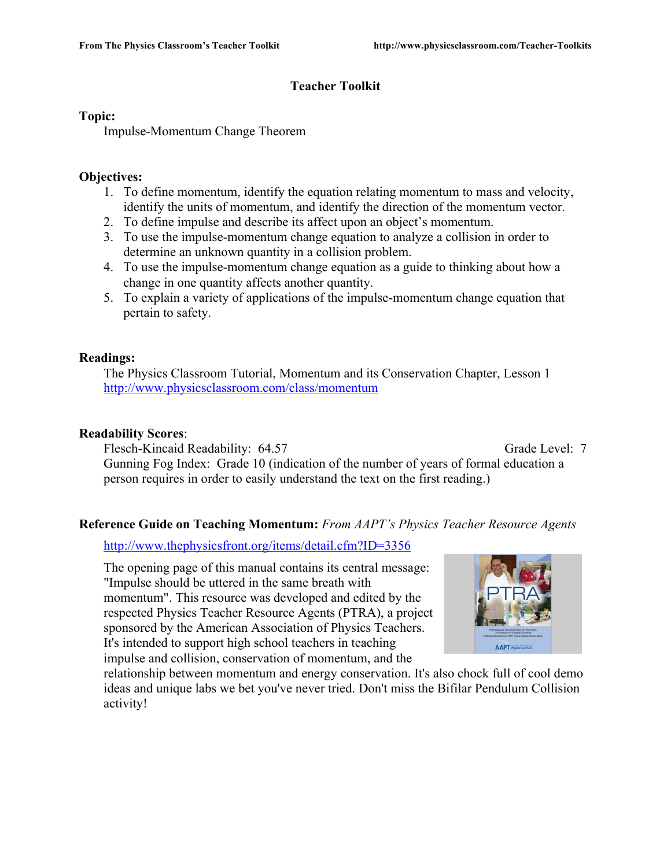# **Teacher Toolkit**

#### **Topic:**

Impulse-Momentum Change Theorem

#### **Objectives:**

- 1. To define momentum, identify the equation relating momentum to mass and velocity, identify the units of momentum, and identify the direction of the momentum vector.
- 2. To define impulse and describe its affect upon an object's momentum.
- 3. To use the impulse-momentum change equation to analyze a collision in order to determine an unknown quantity in a collision problem.
- 4. To use the impulse-momentum change equation as a guide to thinking about how a change in one quantity affects another quantity.
- 5. To explain a variety of applications of the impulse-momentum change equation that pertain to safety.

# **Readings:**

The Physics Classroom Tutorial, Momentum and its Conservation Chapter, Lesson 1 http://www.physicsclassroom.com/class/momentum

#### **Readability Scores**:

Flesch-Kincaid Readability: 64.57 Grade Level: 7 Gunning Fog Index: Grade 10 (indication of the number of years of formal education a person requires in order to easily understand the text on the first reading.)

# **Reference Guide on Teaching Momentum:** *From AAPT's Physics Teacher Resource Agents*

http://www.thephysicsfront.org/items/detail.cfm?ID=3356

The opening page of this manual contains its central message: "Impulse should be uttered in the same breath with momentum". This resource was developed and edited by the respected Physics Teacher Resource Agents (PTRA), a project sponsored by the American Association of Physics Teachers. It's intended to support high school teachers in teaching impulse and collision, conservation of momentum, and the



relationship between momentum and energy conservation. It's also chock full of cool demo ideas and unique labs we bet you've never tried. Don't miss the Bifilar Pendulum Collision activity!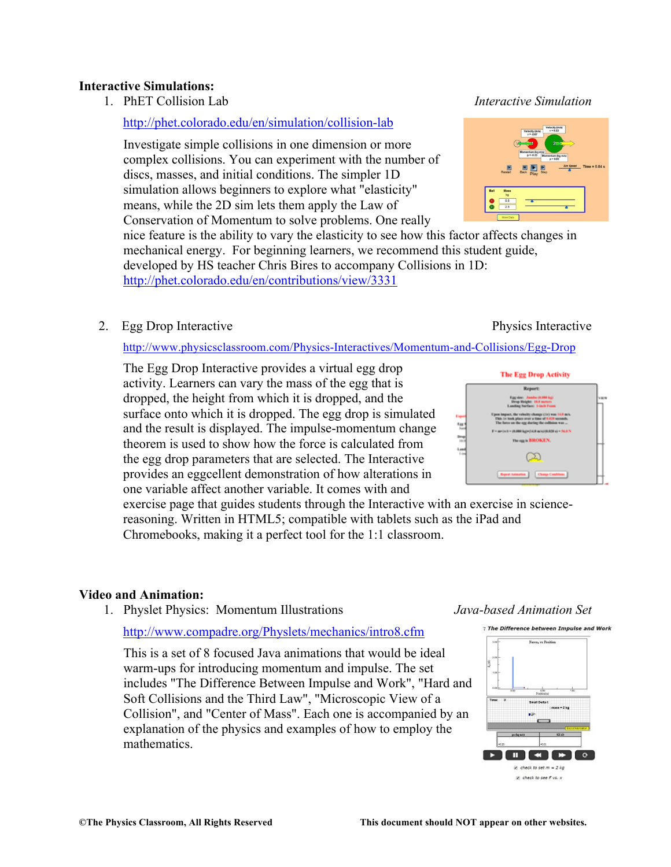#### **Interactive Simulations:**

1. PhET Collision Lab *Interactive Simulation*

#### http://phet.colorado.edu/en/simulation/collision-lab

Investigate simple collisions in one dimension or more complex collisions. You can experiment with the number of discs, masses, and initial conditions. The simpler 1D simulation allows beginners to explore what "elasticity" means, while the 2D sim lets them apply the Law of Conservation of Momentum to solve problems. One really

nice feature is the ability to vary the elasticity to see how this factor affects changes in mechanical energy. For beginning learners, we recommend this student guide, developed by HS teacher Chris Bires to accompany Collisions in 1D: http://phet.colorado.edu/en/contributions/view/3331

#### 2. Egg Drop Interactive Physics Interactive Physics Interactive

#### http://www.physicsclassroom.com/Physics-Interactives/Momentum-and-Collisions/Egg-Drop

The Egg Drop Interactive provides a virtual egg drop activity. Learners can vary the mass of the egg that is dropped, the height from which it is dropped, and the surface onto which it is dropped. The egg drop is simulated and the result is displayed. The impulse-momentum change theorem is used to show how the force is calculated from the egg drop parameters that are selected. The Interactive provides an eggcellent demonstration of how alterations in one variable affect another variable. It comes with and

exercise page that guides students through the Interactive with an exercise in sciencereasoning. Written in HTML5; compatible with tablets such as the iPad and Chromebooks, making it a perfect tool for the 1:1 classroom.

#### **Video and Animation:**

1. Physlet Physics: Momentum Illustrations *Java-based Animation Set*

#### http://www.compadre.org/Physlets/mechanics/intro8.cfm

This is a set of 8 focused Java animations that would be ideal warm-ups for introducing momentum and impulse. The set includes "The Difference Between Impulse and Work", "Hard and Soft Collisions and the Third Law", "Microscopic View of a Collision", and "Center of Mass". Each one is accompanied by an explanation of the physics and examples of how to employ the mathematics.



# **The Egg Drop Activity Report Brown & RECKEN**  $\infty$  ${\bf Type~Minkler} \qquad {\bf Gmp~Gukbar}$

: The Difference between Impulse and Work



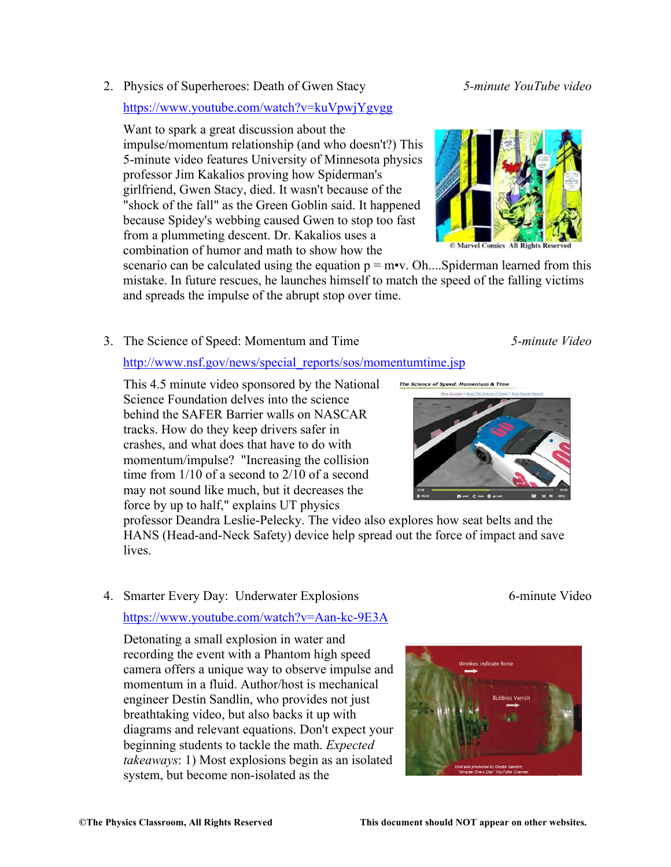2. Physics of Superheroes: Death of Gwen Stacy *5-minute YouTube video*

#### https://www.youtube.com/watch?v=kuVpwjYgvgg

Want to spark a great discussion about the impulse/momentum relationship (and who doesn't?) This 5-minute video features University of Minnesota physics professor Jim Kakalios proving how Spiderman's girlfriend, Gwen Stacy, died. It wasn't because of the "shock of the fall" as the Green Goblin said. It happened because Spidey's webbing caused Gwen to stop too fast from a plummeting descent. Dr. Kakalios uses a combination of humor and math to show how the

scenario can be calculated using the equation  $p = m \cdot v$ . Oh....Spiderman learned from this mistake. In future rescues, he launches himself to match the speed of the falling victims and spreads the impulse of the abrupt stop over time.

3. The Science of Speed: Momentum and Time *5-minute Video*

#### http://www.nsf.gov/news/special\_reports/sos/momentumtime.jsp

This 4.5 minute video sponsored by the National Science Foundation delves into the science behind the SAFER Barrier walls on NASCAR tracks. How do they keep drivers safer in crashes, and what does that have to do with momentum/impulse? "Increasing the collision time from 1/10 of a second to 2/10 of a second may not sound like much, but it decreases the force by up to half," explains UT physics

professor Deandra Leslie-Pelecky. The video also explores how seat belts and the HANS (Head-and-Neck Safety) device help spread out the force of impact and save **lives** 

# 4. Smarter Every Day: Underwater Explosions 6-minute Video https://www.youtube.com/watch?v=Aan-kc-9E3A

Detonating a small explosion in water and recording the event with a Phantom high speed camera offers a unique way to observe impulse and momentum in a fluid. Author/host is mechanical engineer Destin Sandlin, who provides not just breathtaking video, but also backs it up with diagrams and relevant equations. Don't expect your beginning students to tackle the math. *Expected takeaways*: 1) Most explosions begin as an isolated system, but become non-isolated as the

The Science of Sp





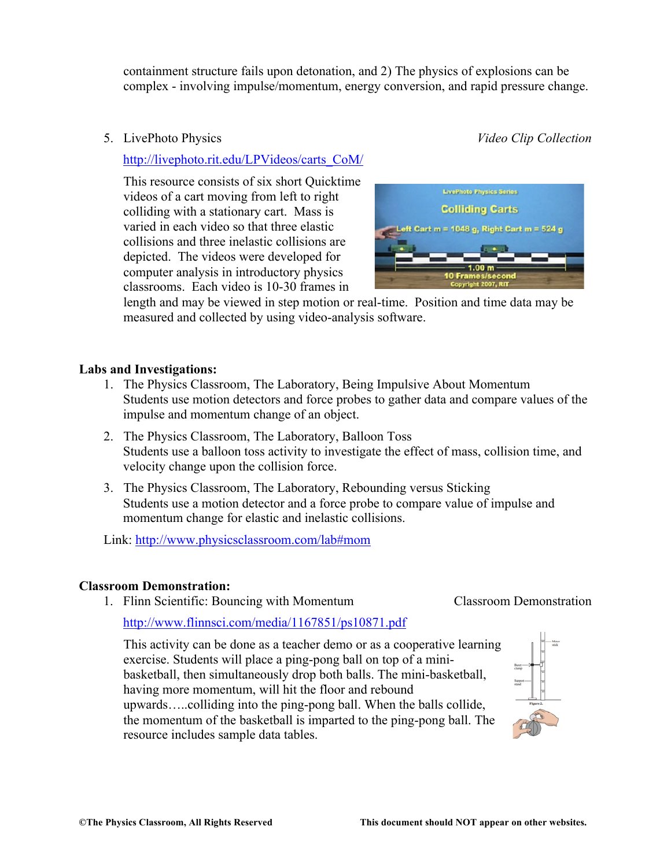containment structure fails upon detonation, and 2) The physics of explosions can be complex - involving impulse/momentum, energy conversion, and rapid pressure change.

5. LivePhoto Physics *Video Clip Collection*

http://livephoto.rit.edu/LPVideos/carts\_CoM/

This resource consists of six short Quicktime videos of a cart moving from left to right colliding with a stationary cart. Mass is varied in each video so that three elastic collisions and three inelastic collisions are depicted. The videos were developed for computer analysis in introductory physics classrooms. Each video is 10-30 frames in



length and may be viewed in step motion or real-time. Position and time data may be measured and collected by using video-analysis software.

#### **Labs and Investigations:**

- 1. The Physics Classroom, The Laboratory, Being Impulsive About Momentum Students use motion detectors and force probes to gather data and compare values of the impulse and momentum change of an object.
- 2. The Physics Classroom, The Laboratory, Balloon Toss Students use a balloon toss activity to investigate the effect of mass, collision time, and velocity change upon the collision force.
- 3. The Physics Classroom, The Laboratory, Rebounding versus Sticking Students use a motion detector and a force probe to compare value of impulse and momentum change for elastic and inelastic collisions.

Link: http://www.physicsclassroom.com/lab#mom

#### **Classroom Demonstration:**

1. Flinn Scientific: Bouncing with Momentum Classroom Demonstration

http://www.flinnsci.com/media/1167851/ps10871.pdf

This activity can be done as a teacher demo or as a cooperative learning exercise. Students will place a ping-pong ball on top of a minibasketball, then simultaneously drop both balls. The mini-basketball, having more momentum, will hit the floor and rebound upwards…..colliding into the ping-pong ball. When the balls collide, the momentum of the basketball is imparted to the ping-pong ball. The resource includes sample data tables.

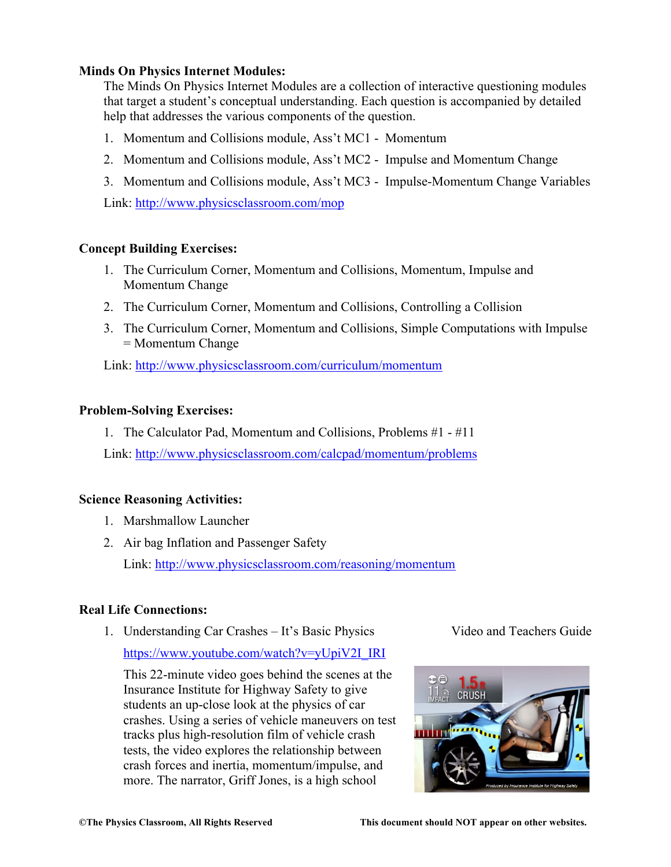#### **Minds On Physics Internet Modules:**

The Minds On Physics Internet Modules are a collection of interactive questioning modules that target a student's conceptual understanding. Each question is accompanied by detailed help that addresses the various components of the question.

- 1. Momentum and Collisions module, Ass't MC1 Momentum
- 2. Momentum and Collisions module, Ass't MC2 Impulse and Momentum Change
- 3. Momentum and Collisions module, Ass't MC3 Impulse-Momentum Change Variables

Link: http://www.physicsclassroom.com/mop

#### **Concept Building Exercises:**

- 1. The Curriculum Corner, Momentum and Collisions, Momentum, Impulse and Momentum Change
- 2. The Curriculum Corner, Momentum and Collisions, Controlling a Collision
- 3. The Curriculum Corner, Momentum and Collisions, Simple Computations with Impulse = Momentum Change

Link: http://www.physicsclassroom.com/curriculum/momentum

#### **Problem-Solving Exercises:**

1. The Calculator Pad, Momentum and Collisions, Problems #1 - #11

Link: http://www.physicsclassroom.com/calcpad/momentum/problems

#### **Science Reasoning Activities:**

- 1. Marshmallow Launcher
- 2. Air bag Inflation and Passenger Safety Link: http://www.physicsclassroom.com/reasoning/momentum

# **Real Life Connections:**

1. Understanding Car Crashes – It's Basic Physics Video and Teachers Guide

https://www.youtube.com/watch?v=yUpiV2I\_IRI

This 22-minute video goes behind the scenes at the Insurance Institute for Highway Safety to give students an up-close look at the physics of car crashes. Using a series of vehicle maneuvers on test tracks plus high-resolution film of vehicle crash tests, the video explores the relationship between crash forces and inertia, momentum/impulse, and more. The narrator, Griff Jones, is a high school

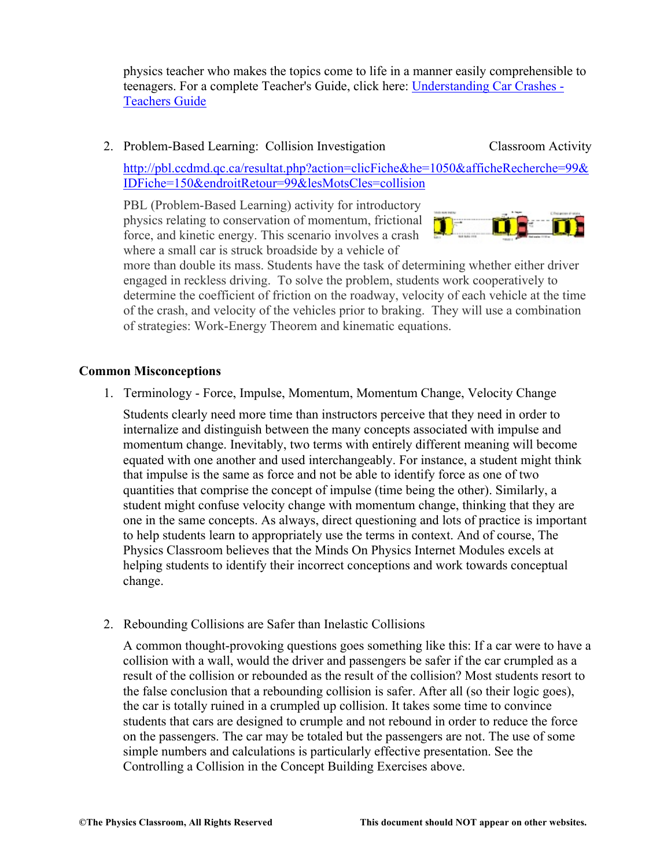physics teacher who makes the topics come to life in a manner easily comprehensible to teenagers. For a complete Teacher's Guide, click here: Understanding Car Crashes - Teachers Guide

#### 2. Problem-Based Learning: Collision Investigation Classroom Activity

http://pbl.ccdmd.qc.ca/resultat.php?action=clicFiche&he=1050&afficheRecherche=99& IDFiche=150&endroitRetour=99&lesMotsCles=collision

PBL (Problem-Based Learning) activity for introductory physics relating to conservation of momentum, frictional force, and kinetic energy. This scenario involves a crash where a small car is struck broadside by a vehicle of



more than double its mass. Students have the task of determining whether either driver engaged in reckless driving. To solve the problem, students work cooperatively to determine the coefficient of friction on the roadway, velocity of each vehicle at the time of the crash, and velocity of the vehicles prior to braking. They will use a combination of strategies: Work-Energy Theorem and kinematic equations.

#### **Common Misconceptions**

1. Terminology - Force, Impulse, Momentum, Momentum Change, Velocity Change

Students clearly need more time than instructors perceive that they need in order to internalize and distinguish between the many concepts associated with impulse and momentum change. Inevitably, two terms with entirely different meaning will become equated with one another and used interchangeably. For instance, a student might think that impulse is the same as force and not be able to identify force as one of two quantities that comprise the concept of impulse (time being the other). Similarly, a student might confuse velocity change with momentum change, thinking that they are one in the same concepts. As always, direct questioning and lots of practice is important to help students learn to appropriately use the terms in context. And of course, The Physics Classroom believes that the Minds On Physics Internet Modules excels at helping students to identify their incorrect conceptions and work towards conceptual change.

2. Rebounding Collisions are Safer than Inelastic Collisions

A common thought-provoking questions goes something like this: If a car were to have a collision with a wall, would the driver and passengers be safer if the car crumpled as a result of the collision or rebounded as the result of the collision? Most students resort to the false conclusion that a rebounding collision is safer. After all (so their logic goes), the car is totally ruined in a crumpled up collision. It takes some time to convince students that cars are designed to crumple and not rebound in order to reduce the force on the passengers. The car may be totaled but the passengers are not. The use of some simple numbers and calculations is particularly effective presentation. See the Controlling a Collision in the Concept Building Exercises above.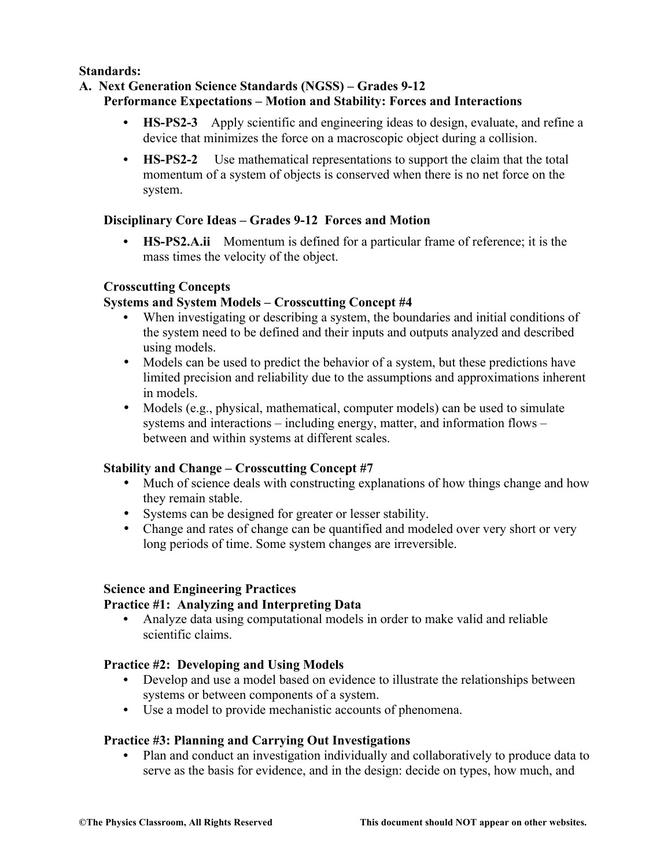**Standards:**

# **A. Next Generation Science Standards (NGSS) – Grades 9-12**

# **Performance Expectations – Motion and Stability: Forces and Interactions**

- **• HS-PS2-3** Apply scientific and engineering ideas to design, evaluate, and refine a device that minimizes the force on a macroscopic object during a collision.
- **• HS-PS2-2** Use mathematical representations to support the claim that the total momentum of a system of objects is conserved when there is no net force on the system.

# **Disciplinary Core Ideas – Grades 9-12 Forces and Motion**

**• HS-PS2.A.ii** Momentum is defined for a particular frame of reference; it is the mass times the velocity of the object.

# **Crosscutting Concepts**

# **Systems and System Models – Crosscutting Concept #4**

- When investigating or describing a system, the boundaries and initial conditions of the system need to be defined and their inputs and outputs analyzed and described using models.
- Models can be used to predict the behavior of a system, but these predictions have limited precision and reliability due to the assumptions and approximations inherent in models.
- Models (e.g., physical, mathematical, computer models) can be used to simulate systems and interactions – including energy, matter, and information flows – between and within systems at different scales.

# **Stability and Change – Crosscutting Concept #7**

- Much of science deals with constructing explanations of how things change and how they remain stable.
- Systems can be designed for greater or lesser stability.
- Change and rates of change can be quantified and modeled over very short or very long periods of time. Some system changes are irreversible.

# **Science and Engineering Practices**

# **Practice #1: Analyzing and Interpreting Data**

**•** Analyze data using computational models in order to make valid and reliable scientific claims.

# **Practice #2: Developing and Using Models**

- **•** Develop and use a model based on evidence to illustrate the relationships between systems or between components of a system.
- **•** Use a model to provide mechanistic accounts of phenomena.

# **Practice #3: Planning and Carrying Out Investigations**

• Plan and conduct an investigation individually and collaboratively to produce data to serve as the basis for evidence, and in the design: decide on types, how much, and